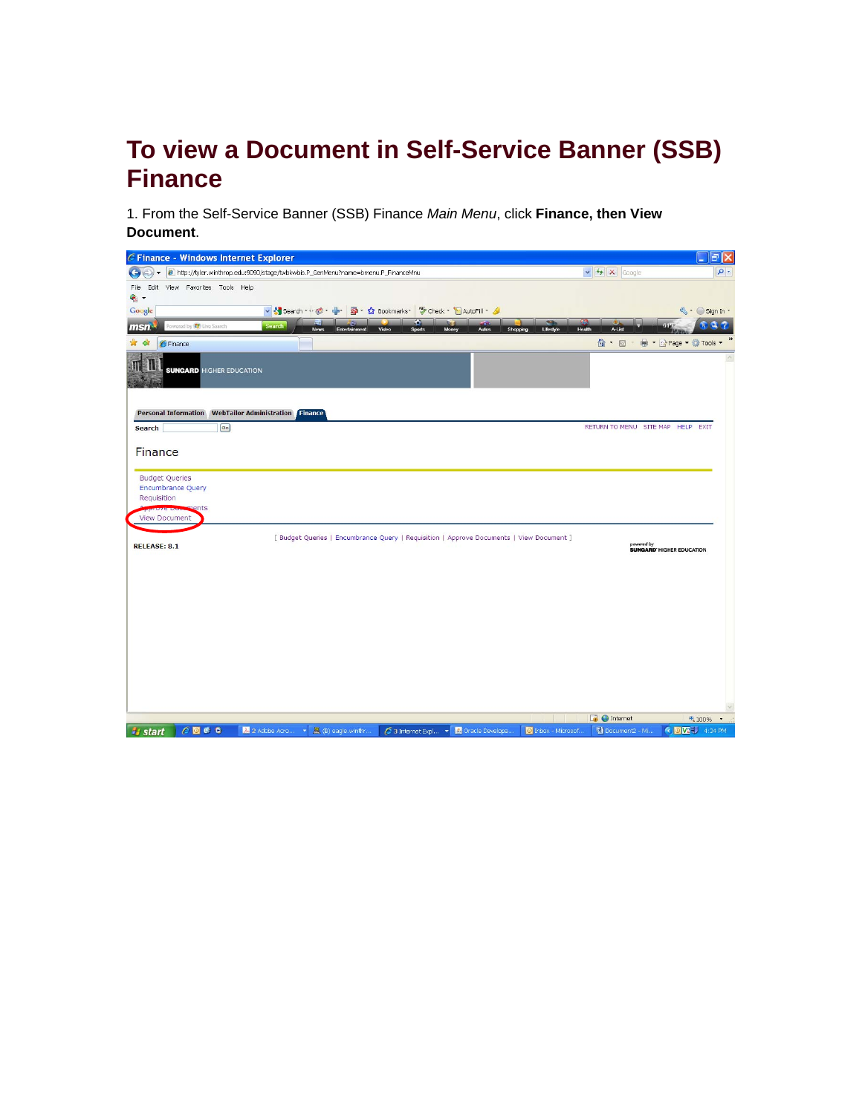# **To view a Document in Self-Service Banner (SSB) Finance**

1. From the Self-Service Banner (SSB) Finance *Main Menu*, click **Finance, then View Document**.

| C Finance - Windows Internet Explorer                                                                                                                                             |                                                | 同<br>÷                   |
|-----------------------------------------------------------------------------------------------------------------------------------------------------------------------------------|------------------------------------------------|--------------------------|
| http://tyler.winthrop.edu:9090/stage/twbkwbis.P_GenMenu?name=bmenu.P_FinanceMnu                                                                                                   | $\vee$ $\rightarrow$ $\times$ Google           | $\rho$ .                 |
| Edit View Favorites Tools Help<br>File                                                                                                                                            |                                                |                          |
| $\bullet$ .                                                                                                                                                                       |                                                |                          |
| v Search · · ● · ● · 图 · ☆ Bookmarks · <sup>*</sup> Check · F AutoFill · <i>▲</i><br>Google<br>o                                                                                  |                                                | S · Sign In ·<br>$Q_{1}$ |
| owered by <b>(C)</b> Live Search<br><b>Search</b><br>msn<br>Video<br>Lifestyle<br>News<br>Entertainment<br><b>Sports</b><br>Money<br><b>Autos</b><br>Shopping                     | 6Æ<br>A-List<br>Health                         |                          |
| ☆<br>ala<br><b>C</b> Finance                                                                                                                                                      | $\bigcirc$ . $\Box$                            | Mage ▼ C Tools ▼         |
| <b>SUNGARD HIGHER EDUCATION</b>                                                                                                                                                   |                                                |                          |
| Personal Information WebTailor Administration Finance                                                                                                                             |                                                |                          |
| $\boxed{G_0}$<br>Search                                                                                                                                                           | RETURN TO MENU SITE MAP HELP EXIT              |                          |
|                                                                                                                                                                                   |                                                |                          |
| Finance                                                                                                                                                                           |                                                |                          |
| <b>Budget Queries</b><br><b>Encumbrance Query</b><br>Requisition<br><b>PRIVATE POSSIBILITIS</b><br><b>View Document</b>                                                           |                                                |                          |
| [ Budget Queries   Encumbrance Query   Requisition   Approve Documents   View Document ]<br><b>RELEASE: 8.1</b>                                                                   | powered by<br><b>SUNGARD' HIGHER EDUCATION</b> |                          |
|                                                                                                                                                                                   |                                                |                          |
|                                                                                                                                                                                   |                                                |                          |
|                                                                                                                                                                                   |                                                |                          |
|                                                                                                                                                                                   |                                                |                          |
|                                                                                                                                                                                   |                                                |                          |
|                                                                                                                                                                                   |                                                |                          |
|                                                                                                                                                                                   |                                                |                          |
|                                                                                                                                                                                   |                                                |                          |
|                                                                                                                                                                                   |                                                |                          |
|                                                                                                                                                                                   |                                                |                          |
|                                                                                                                                                                                   | $\Box$ $\Theta$ Internet                       | <b>气100%</b>             |
| <b>By other</b><br>$\blacktriangleright$ $\blacksquare$ (B) eacle winth:<br>Sa Internet Fynl<br>6同時日<br>2 2 Adobe Arro<br><b>v A</b> Oracle Develope<br><b>D</b> Inhox - Microsof | <b>Eli</b> Document2 - Mi                      | <b>CITO VALL</b> 4-34 PM |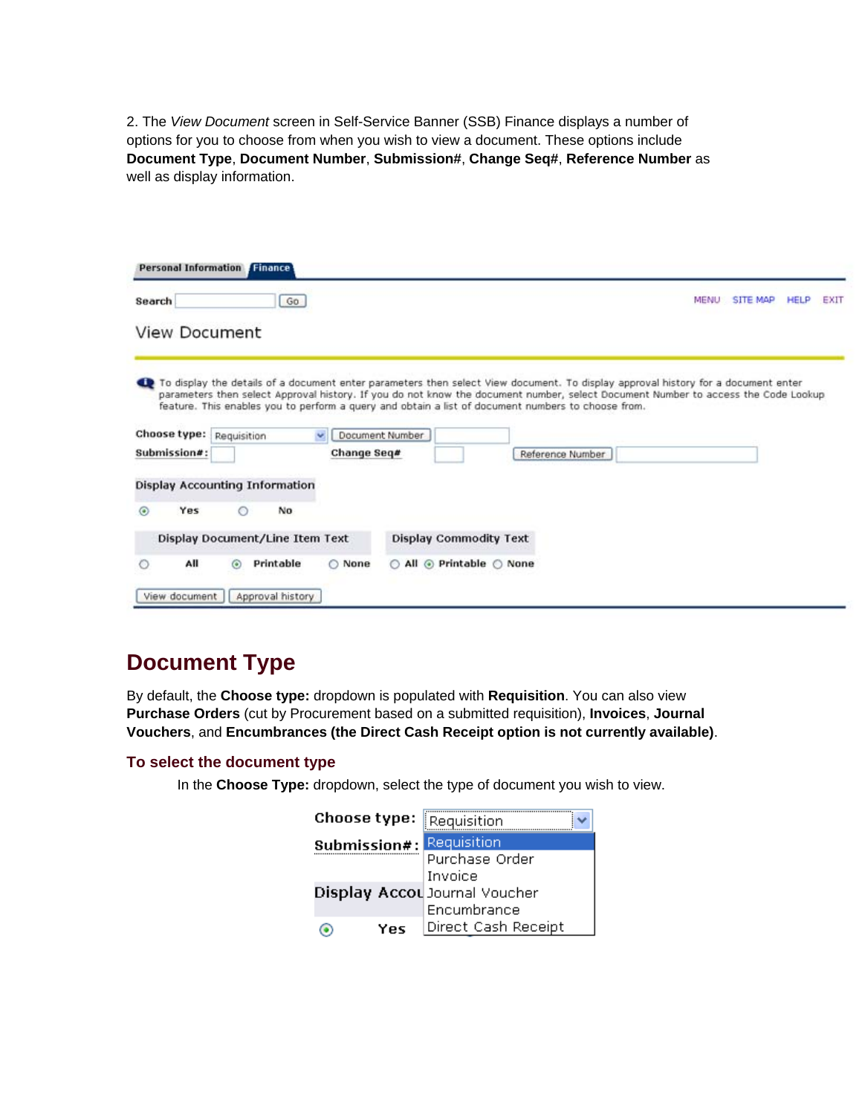2. The *View Document* screen in Self-Service Banner (SSB) Finance displays a number of options for you to choose from when you wish to view a document. These options include **Document Type**, **Document Number**, **Submission#**, **Change Seq#**, **Reference Number** as well as display information.

| Search                       |     |                                                                                                                                                                                                                                                                                                                                                                              | Go     |             |                 |                               |                  | <b>MENU</b> | <b>SITE MAP</b> | <b>HELP</b> | EXIT |
|------------------------------|-----|------------------------------------------------------------------------------------------------------------------------------------------------------------------------------------------------------------------------------------------------------------------------------------------------------------------------------------------------------------------------------|--------|-------------|-----------------|-------------------------------|------------------|-------------|-----------------|-------------|------|
|                              |     | <b>View Document</b>                                                                                                                                                                                                                                                                                                                                                         |        |             |                 |                               |                  |             |                 |             |      |
|                              |     | To display the details of a document enter parameters then select View document. To display approval history for a document enter<br>parameters then select Approval history. If you do not know the document number, select Document Number to access the Code Lookup<br>feature. This enables you to perform a query and obtain a list of document numbers to choose from. |        |             |                 |                               |                  |             |                 |             |      |
|                              |     |                                                                                                                                                                                                                                                                                                                                                                              |        |             |                 |                               |                  |             |                 |             |      |
|                              |     | Requisition                                                                                                                                                                                                                                                                                                                                                                  | $\sim$ | Change Seq# | Document Number |                               | Reference Number |             |                 |             |      |
|                              |     | Display Accounting Information                                                                                                                                                                                                                                                                                                                                               |        |             |                 |                               |                  |             |                 |             |      |
| $\odot$                      | Yes | No<br>⊙                                                                                                                                                                                                                                                                                                                                                                      |        |             |                 |                               |                  |             |                 |             |      |
| Choose type:<br>Submission#: |     | Display Document/Line Item Text                                                                                                                                                                                                                                                                                                                                              |        |             |                 | <b>Display Commodity Text</b> |                  |             |                 |             |      |

# **Document Type**

By default, the **Choose type:** dropdown is populated with **Requisition**. You can also view **Purchase Orders** (cut by Procurement based on a submitted requisition), **Invoices**, **Journal Vouchers**, and **Encumbrances (the Direct Cash Receipt option is not currently available)**.

#### **To select the document type**

In the **Choose Type:** dropdown, select the type of document you wish to view.

| Choose type: | Requisition                   |
|--------------|-------------------------------|
| Submission#: | Requisition                   |
|              | Purchase Order                |
|              | Invoice                       |
|              | Display Accou Journal Voucher |
|              | Encumbrance                   |
| Yes          | Direct Cash Receipt           |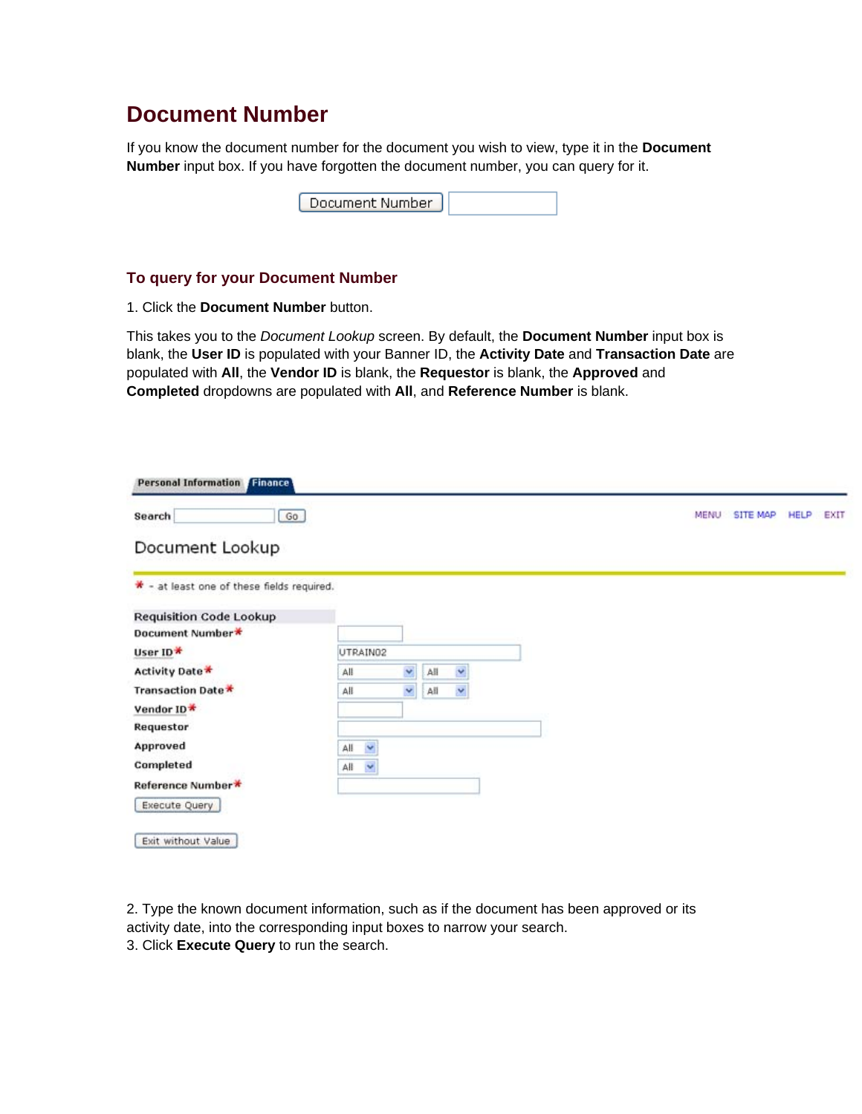## **Document Number**

If you know the document number for the document you wish to view, type it in the **Document Number** input box. If you have forgotten the document number, you can query for it.

|--|

#### **To query for your Document Number**

1. Click the **Document Number** button.

This takes you to the *Document Lookup* screen. By default, the **Document Number** input box is blank, the **User ID** is populated with your Banner ID, the **Activity Date** and **Transaction Date** are populated with **All**, the **Vendor ID** is blank, the **Requestor** is blank, the **Approved** and **Completed** dropdowns are populated with **All**, and **Reference Number** is blank.

| $G_0$<br>Search                            |          |   |     |    |  |  | <b>MENU</b> | <b>SITE MAP</b> | <b>HELP</b> | EXIT |
|--------------------------------------------|----------|---|-----|----|--|--|-------------|-----------------|-------------|------|
| Document Lookup                            |          |   |     |    |  |  |             |                 |             |      |
| * - at least one of these fields required. |          |   |     |    |  |  |             |                 |             |      |
| <b>Requisition Code Lookup</b>             |          |   |     |    |  |  |             |                 |             |      |
| Document Number*                           |          |   |     |    |  |  |             |                 |             |      |
| User ID*                                   | UTRAIN02 |   |     |    |  |  |             |                 |             |      |
| Activity Date*                             | All      | Y | All | Y  |  |  |             |                 |             |      |
| Transaction Date *                         | All      | Y | All | ×, |  |  |             |                 |             |      |
| Vendor ID*                                 |          |   |     |    |  |  |             |                 |             |      |
| Requestor                                  |          |   |     |    |  |  |             |                 |             |      |
| Approved                                   | Y<br>All |   |     |    |  |  |             |                 |             |      |
| Completed                                  | ×<br>All |   |     |    |  |  |             |                 |             |      |
| Reference Number*                          |          |   |     |    |  |  |             |                 |             |      |
|                                            |          |   |     |    |  |  |             |                 |             |      |

2. Type the known document information, such as if the document has been approved or its activity date, into the corresponding input boxes to narrow your search. 3. Click **Execute Query** to run the search.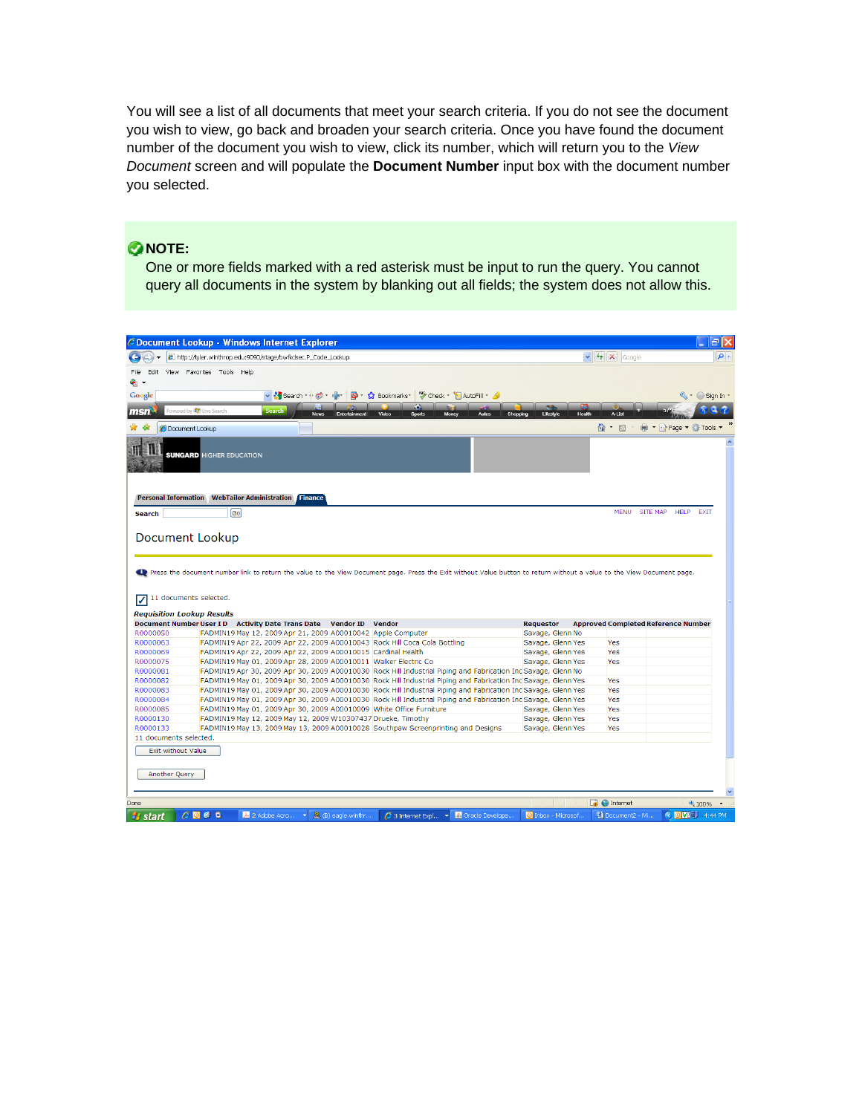You will see a list of all documents that meet your search criteria. If you do not see the document you wish to view, go back and broaden your search criteria. Once you have found the document number of the document you wish to view, click its number, which will return you to the *View Document* screen and will populate the **Document Number** input box with the document number you selected.

### **ONOTE:**

One or more fields marked with a red asterisk must be input to run the query. You cannot query all documents in the system by blanking out all fields; the system does not allow this.

|                                                                                                                                                                                                          | C Document Lookup - Windows Internet Explorer                                                                                                                                                    |                               |                                            | lall×                                       |
|----------------------------------------------------------------------------------------------------------------------------------------------------------------------------------------------------------|--------------------------------------------------------------------------------------------------------------------------------------------------------------------------------------------------|-------------------------------|--------------------------------------------|---------------------------------------------|
|                                                                                                                                                                                                          | http://tyler.winthrop.edu:9090/stage/bwfkdsec.P_Code_Lookup                                                                                                                                      | $\vee$ $\rightarrow$ $\times$ | Google                                     | $\rho$ .                                    |
| File                                                                                                                                                                                                     | Edit View Favorites Tools Help                                                                                                                                                                   |                               |                                            |                                             |
| е. -                                                                                                                                                                                                     |                                                                                                                                                                                                  |                               |                                            |                                             |
| Google                                                                                                                                                                                                   | ▽ Search ・ ● ・ 中 ・ 図 ・ ☆ Bookmarks ・ 等 Check ・ 旨 AutoFill ・ <mark>◆</mark>                                                                                                                       |                               |                                            | $\mathbb{Q}$ $\cdot$ $\cap$ Sign In $\cdot$ |
|                                                                                                                                                                                                          | o                                                                                                                                                                                                |                               |                                            |                                             |
| msn                                                                                                                                                                                                      | Powered by (C) Live Search<br>Search<br>Video<br><b>Sports</b><br>Money<br><b>Autos</b><br>Shopping<br>Lifestyle<br>News<br>Entert                                                               | Health                        | A-List                                     |                                             |
| 4k                                                                                                                                                                                                       | <b>O</b> Document Lookup                                                                                                                                                                         |                               | ? · ⊠                                      | ⊯ → isrPage ▼ © Tools ▼                     |
|                                                                                                                                                                                                          | <b>SUNGARD HIGHER EDUCATION</b>                                                                                                                                                                  |                               |                                            |                                             |
| <b>Search</b>                                                                                                                                                                                            | <b>Personal Information WebTailor Administration Finance</b><br>[Go]                                                                                                                             |                               | MENU SITE MAP                              | <b>HELP</b><br><b>EXIT</b>                  |
|                                                                                                                                                                                                          |                                                                                                                                                                                                  |                               |                                            |                                             |
| ⊽                                                                                                                                                                                                        | Press the document number link to return the value to the View Document page. Press the Exit without Value button to return without a value to the View Document page.<br>11 documents selected. |                               |                                            |                                             |
|                                                                                                                                                                                                          | <b>Requisition Lookup Results</b>                                                                                                                                                                |                               |                                            |                                             |
|                                                                                                                                                                                                          | Document Number User I D Activity Date Trans Date Vendor ID Vendor<br><b>Requestor</b>                                                                                                           |                               | <b>Approved Completed Reference Number</b> |                                             |
|                                                                                                                                                                                                          | Savage, Glenn No<br>FADMIN19 May 12, 2009 Apr 21, 2009 A00010042 Apple Computer                                                                                                                  |                               |                                            |                                             |
|                                                                                                                                                                                                          | FADMIN19 Apr 22, 2009 Apr 22, 2009 A00010043 Rock Hill Coca Cola Bottling<br>Savage, Glenn Yes                                                                                                   |                               | Yes                                        |                                             |
|                                                                                                                                                                                                          | FADMIN19 Apr 22, 2009 Apr 22, 2009 A00010015 Cardinal Health<br>Savage, Glenn Yes                                                                                                                |                               | Yes                                        |                                             |
|                                                                                                                                                                                                          | FADMIN19 May 01, 2009 Apr 28, 2009 A00010011 Walker Electric Co<br>Savage, Glenn Yes                                                                                                             |                               | <b>Yes</b>                                 |                                             |
|                                                                                                                                                                                                          | FADMIN19 Apr 30, 2009 Apr 30, 2009 A00010030 Rock Hill Industrial Piping and Fabrication Inc Savage, Glenn No                                                                                    |                               |                                            |                                             |
|                                                                                                                                                                                                          | FADMIN19 May 01, 2009 Apr 30, 2009 A00010030 Rock Hill Industrial Piping and Fabrication Inc Savage, Glenn Yes                                                                                   |                               | <b>Yes</b>                                 |                                             |
|                                                                                                                                                                                                          | FADMIN19 May 01, 2009 Apr 30, 2009 A00010030 Rock Hill Industrial Piping and Fabrication Inc Savage, Glenn Yes                                                                                   |                               | <b>Yes</b>                                 |                                             |
|                                                                                                                                                                                                          | FADMIN19 May 01, 2009 Apr 30, 2009 A00010030 Rock Hill Industrial Piping and Fabrication Inc Savage, Glenn Yes                                                                                   |                               | <b>Yes</b>                                 |                                             |
|                                                                                                                                                                                                          | FADMIN19 May 01, 2009 Apr 30, 2009 A00010009 White Office Furniture<br>Savage, Glenn Yes                                                                                                         |                               | <b>Yes</b>                                 |                                             |
|                                                                                                                                                                                                          | FADMIN19 May 12, 2009 May 12, 2009 W10307437 Drueke, Timothy<br>Savage, Glenn Yes                                                                                                                |                               | <b>Yes</b>                                 |                                             |
|                                                                                                                                                                                                          | FADMIN19 May 13, 2009 May 13, 2009 A00010028 Southpaw Screenprinting and Designs<br>Savage, Glenn Yes                                                                                            |                               | <b>Yes</b>                                 |                                             |
| R0000050<br>R0000063<br>R0000069<br>R0000075<br>R0000081<br>R0000082<br>R0000083<br>R0000084<br>R0000085<br>R0000130<br>R0000133<br>11 documents selected.<br><b>Exit without Value</b><br>Another Query |                                                                                                                                                                                                  |                               |                                            |                                             |
|                                                                                                                                                                                                          |                                                                                                                                                                                                  |                               | $\Box$ el Internet                         | <sup>4</sup> 100%                           |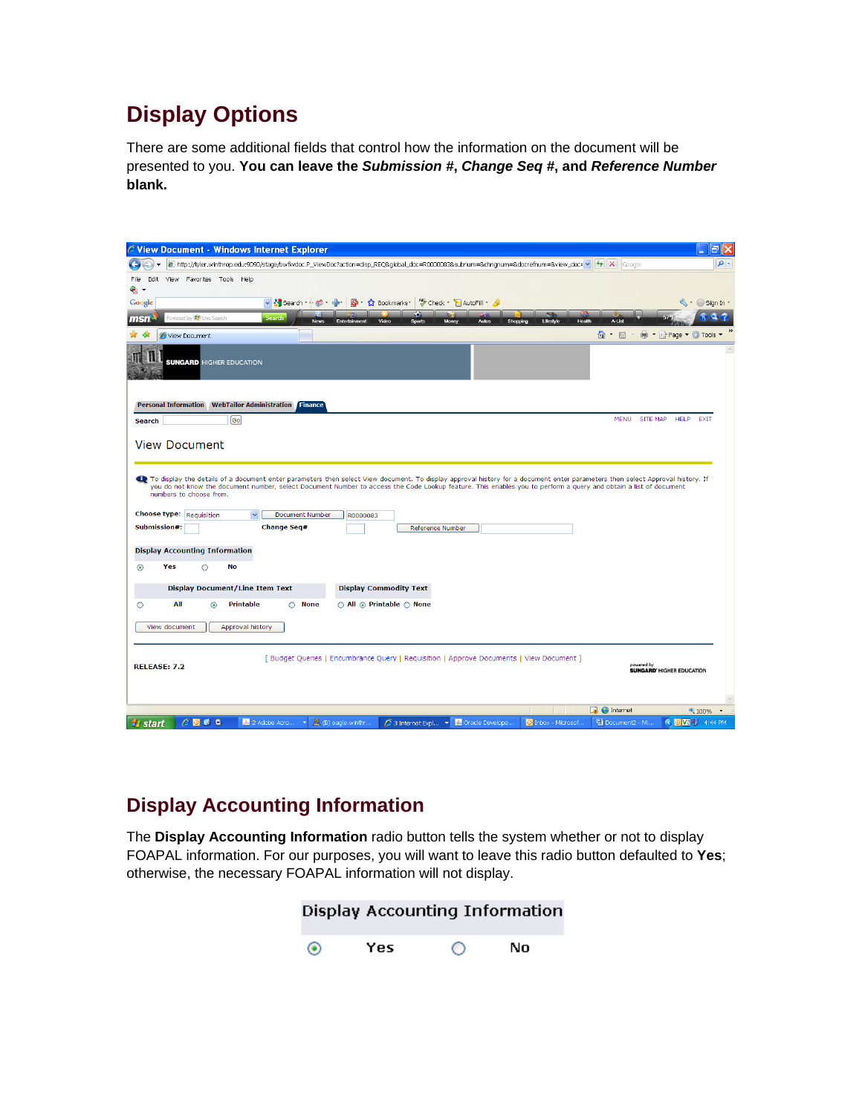# **Display Options**

There are some additional fields that control how the information on the document will be presented to you. **You can leave the** *Submission #***,** *Change Seq #***, and** *Reference Number* **blank.** 

| C View Document - Windows Internet Explorer                                                                                                                                                           |                                                     |
|-------------------------------------------------------------------------------------------------------------------------------------------------------------------------------------------------------|-----------------------------------------------------|
| 2 http://tyler.winthrop.edu:9090/stage/bwfkvdoc.P_ViewDoc?action=disp_REQ&global_doc=R0000083&subnum=&chngnum=&docrefnum=&riew_doc= v                                                                 | $\mathbf{Q}$<br>$\rightarrow$ $\times$<br>Google    |
| File Edit View Favorites Tools Help<br>۰.                                                                                                                                                             |                                                     |
| ▼ Search · ● ● · 中   Q · ☆ Bookmarks · <sup>*</sup> Check · 自 AutoFill · <i>△</i><br>Google                                                                                                           | $\mathbb{S}\cdot \bigcirc$ Sign In $\cdot$          |
| ш<br>Powered by (3) Live Search<br><b>Search</b><br>msn<br>Lifestyle<br>Video<br>Health<br><b>News</b><br>Enterts<br><b>Sports</b><br>Money<br>Autos<br><b>Shopping</b>                               | A-List                                              |
| View Document                                                                                                                                                                                         | $\cap$ . E<br>⊯ → isrPage → ① Tools →               |
| <b>SUNGARD</b> HIGHER EDUCATION                                                                                                                                                                       |                                                     |
| Personal Information WebTailor Administration Finance                                                                                                                                                 |                                                     |
| Go<br><b>Search</b>                                                                                                                                                                                   | <b>MENU</b><br>SITE MAP HELP EXIT                   |
| <b>View Document</b><br>To display the details of a document enter parameters then select View document. To display approval history for a document enter parameters then select Approval history. If |                                                     |
| you do not know the document number, select Document Number to access the Code Lookup feature. This enables you to perform a query and obtain a list of document<br>numbers to choose from.           |                                                     |
| Choose type: Requisition<br><b>Document Number</b><br>$\checkmark$<br>R0000083                                                                                                                        |                                                     |
| <b>Change Seq#</b><br>Submission#:<br>Reference Number                                                                                                                                                |                                                     |
|                                                                                                                                                                                                       |                                                     |
| <b>Display Accounting Information</b>                                                                                                                                                                 |                                                     |
| $^{\circ}$<br>Yes<br>No<br>Ο                                                                                                                                                                          |                                                     |
| <b>Display Document/Line Item Text</b><br><b>Display Commodity Text</b>                                                                                                                               |                                                     |
| All<br><b>Printable</b><br><b>None</b><br>All  n Printable  n None<br>О<br>$\odot$<br>∩                                                                                                               |                                                     |
|                                                                                                                                                                                                       |                                                     |
| Approval history<br>View document                                                                                                                                                                     |                                                     |
|                                                                                                                                                                                                       |                                                     |
| [ Budget Queries   Encumbrance Query   Requisition   Approve Documents   View Document ]<br><b>RELEASE: 7.2</b>                                                                                       | powered by<br><b>SUNGARD' HIGHER EDUCATION</b>      |
|                                                                                                                                                                                                       |                                                     |
|                                                                                                                                                                                                       |                                                     |
|                                                                                                                                                                                                       | $\Box$<br>$\bigoplus$ Internet<br><sup>4</sup> 100% |
| $C$ <b>D</b> $C$ <b>C</b><br><b><i><b>L</b></i></b> start<br>A 2 Adobe Acro<br>風 (B) eagle.winthr<br>Cracle Develope<br>O Inbox - Microsof<br>$\mathcal C$ 3 Internet Expl $\mathbf{v}$<br>×          | <b>COVE J</b> 4:44 PM<br>hocument2 - Mi             |

## **Display Accounting Information**

The **Display Accounting Information** radio button tells the system whether or not to display FOAPAL information. For our purposes, you will want to leave this radio button defaulted to **Yes**; otherwise, the necessary FOAPAL information will not display.

|   |     |   | Display Accounting Information |  |
|---|-----|---|--------------------------------|--|
| ◉ | Yes | ◯ | No                             |  |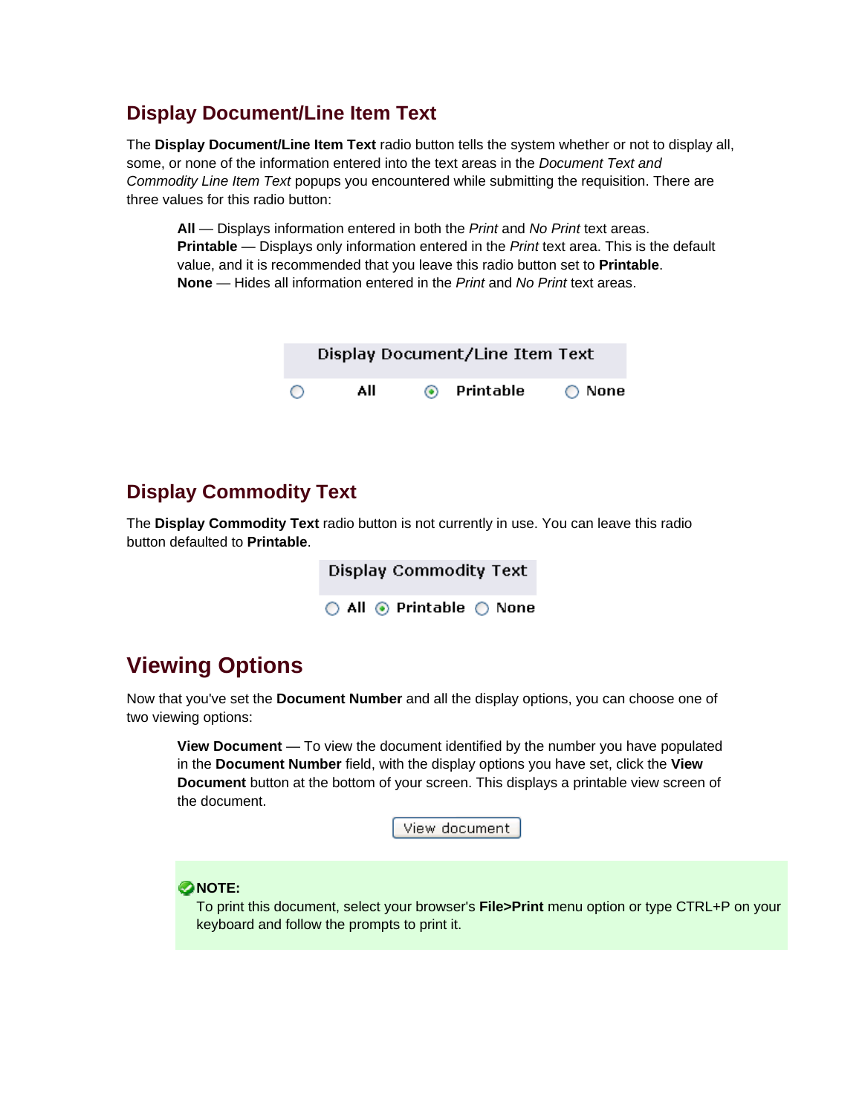### **Display Document/Line Item Text**

The **Display Document/Line Item Text** radio button tells the system whether or not to display all, some, or none of the information entered into the text areas in the *Document Text and Commodity Line Item Text* popups you encountered while submitting the requisition. There are three values for this radio button:

**All** — Displays information entered in both the *Print* and *No Print* text areas. **Printable** — Displays only information entered in the *Print* text area. This is the default value, and it is recommended that you leave this radio button set to **Printable**. **None** — Hides all information entered in the *Print* and *No Print* text areas.

|   |     |         | Display Document/Line Item Text |        |
|---|-----|---------|---------------------------------|--------|
| ∩ | All | $\odot$ | Printable                       | ◯ None |

### **Display Commodity Text**

The **Display Commodity Text** radio button is not currently in use. You can leave this radio button defaulted to **Printable**.

> **Display Commodity Text**  $\bigcirc$  All  $\circledcirc$  Printable  $\bigcirc$  None

# **Viewing Options**

Now that you've set the **Document Number** and all the display options, you can choose one of two viewing options:

**View Document** — To view the document identified by the number you have populated in the **Document Number** field, with the display options you have set, click the **View Document** button at the bottom of your screen. This displays a printable view screen of the document.

View document

**ONOTE:** 

To print this document, select your browser's **File>Print** menu option or type CTRL+P on your keyboard and follow the prompts to print it.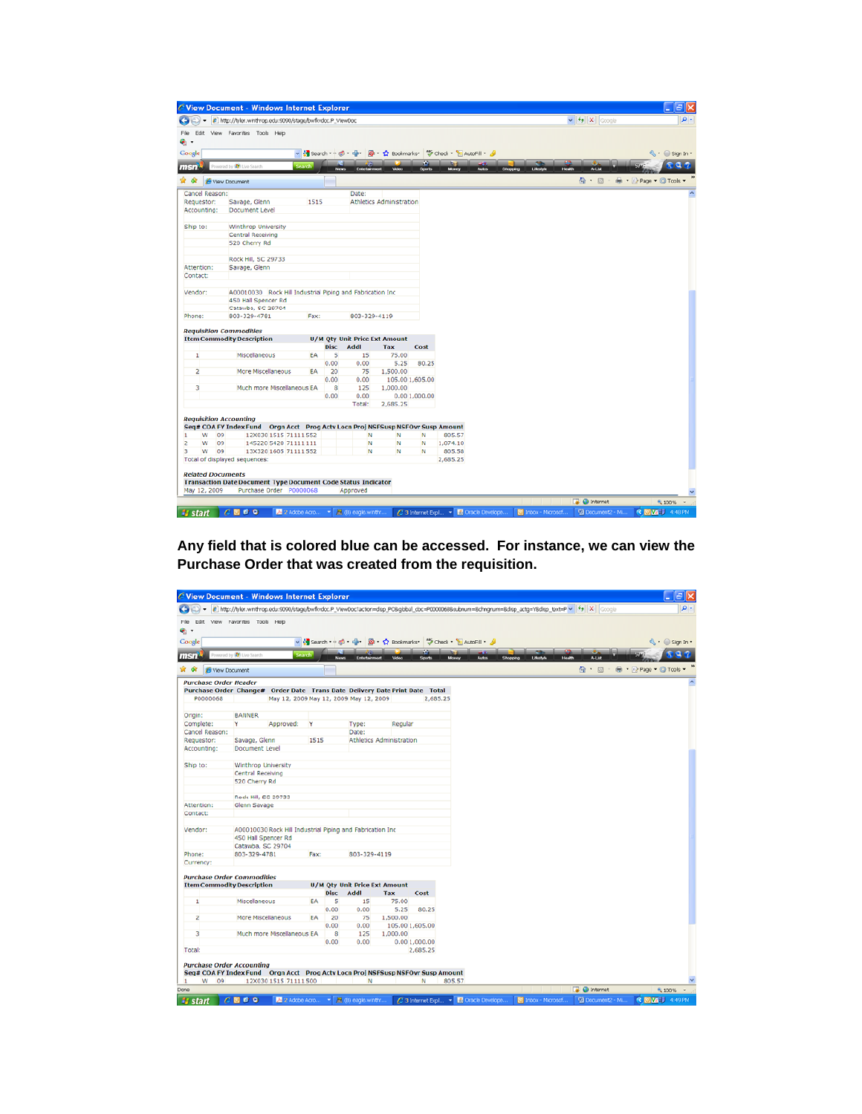|                               | C View Document - Windows Internet Explorer                                     |              |                   |                                      |                          |                 |                                                                   |                       |                                      | $ \exists$ $\times$                 |
|-------------------------------|---------------------------------------------------------------------------------|--------------|-------------------|--------------------------------------|--------------------------|-----------------|-------------------------------------------------------------------|-----------------------|--------------------------------------|-------------------------------------|
| ÷                             | 2 http://tyler.winthrop.edu.9090/stage/bwfkvdoc.P_ViewDoc                       |              |                   |                                      |                          |                 |                                                                   |                       | $\vee$ $\rightarrow$ $\times$ coople |                                     |
| File<br>е.                    | Edit View Favorites Tools Help                                                  |              |                   |                                      |                          |                 |                                                                   |                       |                                      |                                     |
| Google                        |                                                                                 |              |                   |                                      |                          |                 | → Search → d + d + p + p + ☆ Bookmarks + → Check + 旨 AutoFill + 4 |                       |                                      | $\mathbb{Q}$ + $\bigcirc$ sign In + |
|                               |                                                                                 |              |                   |                                      |                          | v.              |                                                                   |                       |                                      |                                     |
| msn                           | Powered by (C) Live Search                                                      | Search       | News <sub>1</sub> | Entertain                            | Video                    | <b>Sports</b>   | Money<br><b>Autos</b>                                             | Lifestyle<br>Shopping | Health<br>A-List                     | $\alpha$                            |
| ŵ                             | View Document                                                                   |              |                   |                                      |                          |                 |                                                                   |                       | $\cap$ $\Box$                        | # + D Page + @ Tools +              |
| Cancel Reason:                |                                                                                 |              |                   | Date:                                |                          |                 |                                                                   |                       |                                      |                                     |
| Requestor:                    | Savage, Glenn                                                                   | 1515         |                   |                                      | Athletics Administration |                 |                                                                   |                       |                                      |                                     |
| Accounting:                   | Document Level                                                                  |              |                   |                                      |                          |                 |                                                                   |                       |                                      |                                     |
| Ship to:                      | Winthrop University                                                             |              |                   |                                      |                          |                 |                                                                   |                       |                                      |                                     |
|                               | Central Receiving                                                               |              |                   |                                      |                          |                 |                                                                   |                       |                                      |                                     |
|                               | 520 Cherry Rd                                                                   |              |                   |                                      |                          |                 |                                                                   |                       |                                      |                                     |
|                               |                                                                                 |              |                   |                                      |                          |                 |                                                                   |                       |                                      |                                     |
|                               | Rock Hill, SC 29733                                                             |              |                   |                                      |                          |                 |                                                                   |                       |                                      |                                     |
| Attention:                    | Savage, Glenn                                                                   |              |                   |                                      |                          |                 |                                                                   |                       |                                      |                                     |
| Contact:                      |                                                                                 |              |                   |                                      |                          |                 |                                                                   |                       |                                      |                                     |
| Vendor:                       | A00010030 Rock Hill Industrial Piping and Fabrication Inc.                      |              |                   |                                      |                          |                 |                                                                   |                       |                                      |                                     |
|                               | 450 Hall Spencer Rd                                                             |              |                   |                                      |                          |                 |                                                                   |                       |                                      |                                     |
|                               | Catawba, SC 29704                                                               |              |                   |                                      |                          |                 |                                                                   |                       |                                      |                                     |
| Phone:                        | 803-329-4781                                                                    | Fax:         |                   | 803-329-4119                         |                          |                 |                                                                   |                       |                                      |                                     |
|                               | <b>Requisition Commodities</b>                                                  |              |                   |                                      |                          |                 |                                                                   |                       |                                      |                                     |
|                               | <b>Item Commodity Description</b>                                               |              |                   | <b>U/M Qty Unit Price Ext Amount</b> |                          |                 |                                                                   |                       |                                      |                                     |
| 1                             | Miscellaneous                                                                   | EA           | 5                 | Disc Addl<br>15                      | Tax<br>75.00             | Cost            |                                                                   |                       |                                      |                                     |
|                               |                                                                                 |              | 0.00              | 0.00                                 | 5.25                     | 80.25           |                                                                   |                       |                                      |                                     |
| $\overline{2}$                | More Miscellaneous                                                              | EA           | 20                | 75                                   | 1,500.00                 |                 |                                                                   |                       |                                      |                                     |
|                               |                                                                                 |              | 0.00              | 0.00                                 |                          | 105.00 1,605.00 |                                                                   |                       |                                      |                                     |
| 3                             | Much more Miscellaneous EA                                                      |              | 8                 | 125                                  | 1,000.00                 |                 |                                                                   |                       |                                      |                                     |
|                               |                                                                                 |              | 0.00              | 0.00                                 |                          | 0.00 1,000.00   |                                                                   |                       |                                      |                                     |
|                               |                                                                                 |              |                   | Total:                               | 2,685.25                 |                 |                                                                   |                       |                                      |                                     |
|                               |                                                                                 |              |                   |                                      |                          |                 |                                                                   |                       |                                      |                                     |
| <b>Requisition Accounting</b> |                                                                                 |              |                   |                                      |                          |                 |                                                                   |                       |                                      |                                     |
|                               | Seq# COA FY Index Fund Orgn Acct Prog Actv Locn Proj NSFSusp NSFOvr Susp Amount |              |                   |                                      |                          |                 |                                                                   |                       |                                      |                                     |
| w<br>09                       | 12X030 1515 71111 552                                                           |              |                   | N                                    | N                        | N               | 805.57                                                            |                       |                                      |                                     |
| w<br>Þ<br>09<br>w             | 145220 5420 71111 111                                                           |              |                   | N<br>N                               | N<br>N                   | N               | 1,074.10                                                          |                       |                                      |                                     |
| 09<br>з                       | 13X320 1605 71111 552                                                           |              |                   |                                      |                          | N               | 805.58                                                            |                       |                                      |                                     |
|                               | Total of displayed sequences:                                                   |              |                   |                                      |                          |                 | 2,685.25                                                          |                       |                                      |                                     |
| <b>Related Documents</b>      |                                                                                 |              |                   |                                      |                          |                 |                                                                   |                       |                                      |                                     |
|                               | <b>Transaction Date Document Type Document Code Status Indicator</b>            |              |                   |                                      |                          |                 |                                                                   |                       |                                      |                                     |
| May 12, 2009                  | Purchase Order P0000068                                                         |              |                   | Approved                             |                          |                 |                                                                   |                       |                                      |                                     |
|                               |                                                                                 |              |                   |                                      |                          |                 |                                                                   |                       | <b>B</b> Internet                    | 气100%~                              |
| <b><i>Pa</i></b> start        | $C$ <b>Q</b> $C$ Q                                                              | 2 Adobe Acro |                   | ▼ B (B) eagle.winthr.                |                          |                 | C 3 Internet Expl . B Oracle Develope.                            | Trbox - Microsof.     | <b>Document2 - Mi.</b>               | <b>《图题】 4:48 PM</b>                 |

**Any field that is colored blue can be accessed. For instance, we can view the Purchase Order that was created from the requisition.**

|                                   | C View Document - Windows Internet Explorer                                                                                                                |        |             |                                                                 |                          |                          |        |                    |                       |                                | lalx                            |
|-----------------------------------|------------------------------------------------------------------------------------------------------------------------------------------------------------|--------|-------------|-----------------------------------------------------------------|--------------------------|--------------------------|--------|--------------------|-----------------------|--------------------------------|---------------------------------|
| ÷                                 | e] http://tyler.winthrop.edur9090/stage/bwfivdoc.P_ViewDoc?action=disp_PO8global_doc=P00000688subnum=8chngnum=8disp_actg=Y8disp_text=P v [ fy   X   Google |        |             |                                                                 |                          |                          |        |                    |                       |                                |                                 |
| File                              | Edit View Favorites Tools Help                                                                                                                             |        |             |                                                                 |                          |                          |        |                    |                       |                                |                                 |
| ۰,                                |                                                                                                                                                            |        |             |                                                                 |                          |                          |        |                    |                       |                                |                                 |
|                                   |                                                                                                                                                            |        |             | v & Search + 6 + 8 + 8 + 2 Bookmarks + 7 Check + 8 AutoFill + 8 |                          |                          |        |                    |                       |                                | ન્યુ•⊜ Sign In *                |
| Google                            |                                                                                                                                                            |        |             |                                                                 |                          | ÷.                       |        |                    |                       |                                |                                 |
| msn                               | ored by <b>(b)</b> Live Search                                                                                                                             | teamh. |             | News<br>Entertainment                                           | <b>Mdet</b>              | Sports                   | Monas  | <b>Autos</b>       | Lifestyle<br>Shopping | <b>A-List</b><br><b>Health</b> |                                 |
| ۵<br>View Document                |                                                                                                                                                            |        |             |                                                                 |                          |                          |        |                    |                       | $\cap$ . $\Box$                | <b>EB - 12 Page - @ Tools -</b> |
| <b>Purchase Order Header</b>      |                                                                                                                                                            |        |             |                                                                 |                          |                          |        |                    |                       |                                |                                 |
|                                   | Purchase Order Change# Order Date Trans Date Delivery Date Print Date Total                                                                                |        |             |                                                                 |                          |                          |        |                    |                       |                                |                                 |
| P0000068                          |                                                                                                                                                            |        |             | May 12, 2009 May 12, 2009 May 12, 2009                          |                          | 2.685.25                 |        |                    |                       |                                |                                 |
| Origin:                           | <b>BANNER</b>                                                                                                                                              |        |             |                                                                 |                          |                          |        |                    |                       |                                |                                 |
| Complete:                         | Y<br>Approved:                                                                                                                                             | Y      |             | Type:                                                           | Regular                  |                          |        |                    |                       |                                |                                 |
| Cancel Reason:                    |                                                                                                                                                            |        |             | Date:                                                           |                          |                          |        |                    |                       |                                |                                 |
| Requestor:                        | Savage, Glenn                                                                                                                                              | 1515   |             |                                                                 | Athletics Administration |                          |        |                    |                       |                                |                                 |
| Accounting:                       | Document Level                                                                                                                                             |        |             |                                                                 |                          |                          |        |                    |                       |                                |                                 |
| Ship to:                          | Winthrop University                                                                                                                                        |        |             |                                                                 |                          |                          |        |                    |                       |                                |                                 |
|                                   | Central Receiving                                                                                                                                          |        |             |                                                                 |                          |                          |        |                    |                       |                                |                                 |
|                                   | 520 Cherry Rd                                                                                                                                              |        |             |                                                                 |                          |                          |        |                    |                       |                                |                                 |
|                                   | Rock Hill, SC 29733                                                                                                                                        |        |             |                                                                 |                          |                          |        |                    |                       |                                |                                 |
| Attention:                        | Glenn Savage                                                                                                                                               |        |             |                                                                 |                          |                          |        |                    |                       |                                |                                 |
| Contact:                          |                                                                                                                                                            |        |             |                                                                 |                          |                          |        |                    |                       |                                |                                 |
|                                   |                                                                                                                                                            |        |             |                                                                 |                          |                          |        |                    |                       |                                |                                 |
| Vendor:                           | A00010030 Rock Hill Industrial Piping and Fabrication Inc.                                                                                                 |        |             |                                                                 |                          |                          |        |                    |                       |                                |                                 |
|                                   | 450 Hall Spencer Rd                                                                                                                                        |        |             |                                                                 |                          |                          |        |                    |                       |                                |                                 |
|                                   | Catawba, SC 29704                                                                                                                                          |        |             |                                                                 |                          |                          |        |                    |                       |                                |                                 |
| Phone:                            | 803-329-4781                                                                                                                                               | Fax:   |             | 803-329-4119                                                    |                          |                          |        |                    |                       |                                |                                 |
| Currency:                         |                                                                                                                                                            |        |             |                                                                 |                          |                          |        |                    |                       |                                |                                 |
|                                   | <b>Purchase Order Commodities</b>                                                                                                                          |        |             |                                                                 |                          |                          |        |                    |                       |                                |                                 |
| <b>Item Commodity Description</b> |                                                                                                                                                            |        |             | <b>U/M Qty Unit Price Ext Amount</b>                            |                          |                          |        |                    |                       |                                |                                 |
|                                   |                                                                                                                                                            |        | <b>Disc</b> | Addl                                                            | Tax                      | Cost                     |        |                    |                       |                                |                                 |
| 1                                 | Miscellaneous                                                                                                                                              | EA     | 5           | 15                                                              | 75.00                    |                          |        |                    |                       |                                |                                 |
|                                   |                                                                                                                                                            |        | 0.00        | 0.00                                                            | 5.25                     | 80.25                    |        |                    |                       |                                |                                 |
| 2                                 | More Miscellaneous                                                                                                                                         | EA     | 20          | 75                                                              | 1,500.00                 |                          |        |                    |                       |                                |                                 |
|                                   |                                                                                                                                                            |        | 0.00        | 0.00                                                            |                          | 105.00 1,605.00          |        |                    |                       |                                |                                 |
| 3                                 | Much more Miscellaneous EA                                                                                                                                 |        | 8           | 125                                                             | 1,000.00                 |                          |        |                    |                       |                                |                                 |
|                                   |                                                                                                                                                            |        | 0.00        | 0.00                                                            |                          | 0.001,000.00             |        |                    |                       |                                |                                 |
| Total:                            |                                                                                                                                                            |        |             |                                                                 |                          | 2,685.25                 |        |                    |                       |                                |                                 |
| <b>Purchase Order Accounting</b>  |                                                                                                                                                            |        |             |                                                                 |                          |                          |        |                    |                       |                                |                                 |
|                                   | Seq# COA FY Index Fund Orgn Acct Prog Actv Locn Proj NSFSusp NSFOvr Susp Amount                                                                            |        |             |                                                                 |                          |                          |        |                    |                       |                                |                                 |
| W<br>09<br>٠                      | 12X030 1515 71111 500                                                                                                                                      |        |             | N                                                               |                          | N                        | 805.57 |                    |                       |                                |                                 |
| Done                              |                                                                                                                                                            |        |             |                                                                 |                          |                          |        |                    |                       | <b>B</b> O Internet            | 气100%~                          |
| <b><i><b>L</b></i></b> start<br>c | 回顾口<br>2 Adobe Acro                                                                                                                                        |        | ×           | 盖 (B) eagle.winth:                                              |                          | $63$ Internet Expl $\pm$ |        | C Oracle Develope. | Tribox - Microsof.    | Document2 - Mi.                | <b>R 回函引</b> 4:49 PM            |